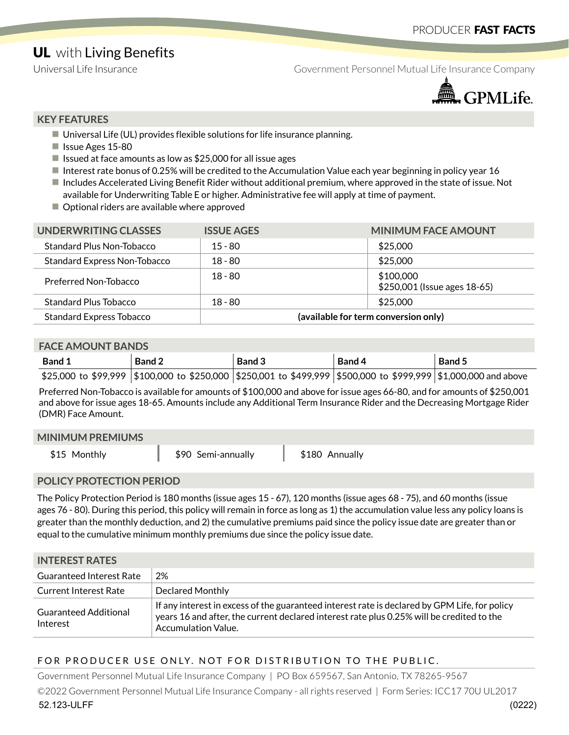# **UL** with Living Benefits

Universal Life Insurance The Government Personnel Mutual Life Insurance Company



#### **KEY FEATURES**

- $\blacksquare$  Universal Life (UL) provides flexible solutions for life insurance planning.
- **I** Issue Ages 15-80
- If Issued at face amounts as low as  $$25,000$  for all issue ages
- Interest rate bonus of 0.25% will be credited to the Accumulation Value each year beginning in policy year 16
- Includes Accelerated Living Benefit Rider without additional premium, where approved in the state of issue. Not available for Underwriting Table E or higher. Administrative fee will apply at time of payment.
- Optional riders are available where approved

| UNDERWRITING CLASSES                | <b>ISSUE AGES</b>                    | <b>MINIMUM FACE AMOUNT</b>                |
|-------------------------------------|--------------------------------------|-------------------------------------------|
| Standard Plus Non-Tobacco           | $15 - 80$                            | \$25,000                                  |
| <b>Standard Express Non-Tobacco</b> | $18 - 80$                            | \$25,000                                  |
| Preferred Non-Tobacco               | $18 - 80$                            | \$100,000<br>\$250,001 (Issue ages 18-65) |
| <b>Standard Plus Tobacco</b>        | $18 - 80$                            | \$25,000                                  |
| <b>Standard Express Tobacco</b>     | (available for term conversion only) |                                           |

#### **FACE AMOUNT BANDS**

| <b>Band 1</b> | <b>Band 2</b>                                                                                                       | Band 3 | Band 4 | Band 5 |
|---------------|---------------------------------------------------------------------------------------------------------------------|--------|--------|--------|
|               | \$25,000 to \$99,999  \$100,000 to \$250,000  \$250,001 to \$499,999  \$500,000 to \$999,999  \$1,000,000 and above |        |        |        |

Preferred Non-Tobacco is available for amounts of \$100,000 and above for issue ages 66-80, and for amounts of \$250,001 and above for issue ages 18-65. Amounts include any Additional Term Insurance Rider and the Decreasing Mortgage Rider (DMR) Face Amount.

#### **MINIMUM PREMIUMS**

| \$15 Monthly | \$90 Semi-annually | \$180 Annually |
|--------------|--------------------|----------------|
|              |                    |                |

### **POLICY PROTECTION PERIOD**

The Policy Protection Period is 180 months (issue ages 15 - 67), 120 months (issue ages 68 - 75), and 60 months (issue ages 76 - 80). During this period, this policy will remain in force as long as 1) the accumulation value less any policy loans is greater than the monthly deduction, and 2) the cumulative premiums paid since the policy issue date are greater than or equal to the cumulative minimum monthly premiums due since the policy issue date.

# **INTEDECT DATES**

| ------------------                       |                                                                                                                                                                                                                          |
|------------------------------------------|--------------------------------------------------------------------------------------------------------------------------------------------------------------------------------------------------------------------------|
| <b>Guaranteed Interest Rate</b>          | 2%                                                                                                                                                                                                                       |
| <b>Current Interest Rate</b>             | <b>Declared Monthly</b>                                                                                                                                                                                                  |
| <b>Guaranteed Additional</b><br>Interest | If any interest in excess of the guaranteed interest rate is declared by GPM Life, for policy<br>years 16 and after, the current declared interest rate plus 0.25% will be credited to the<br><b>Accumulation Value.</b> |

### FOR PRODUCER USE ONLY. NOT FOR DISTRIBUTION TO THE PUBLIC.

Government Personnel Mutual Life Insurance Company | PO Box 659567, San Antonio, TX 78265-9567 ©2022 Government Personnel Mutual Life Insurance Company - all rights reserved | Form Series: ICC17 70U UL2017 52.123-ULFF (0222)